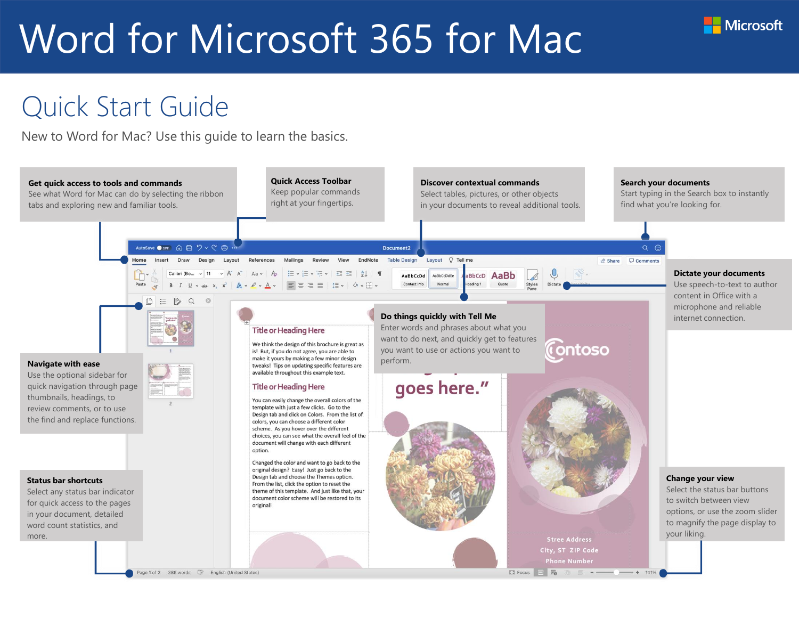#### Quick Start Guide

New to Word for Mac? Use this guide to learn the basics.



**Microsoft**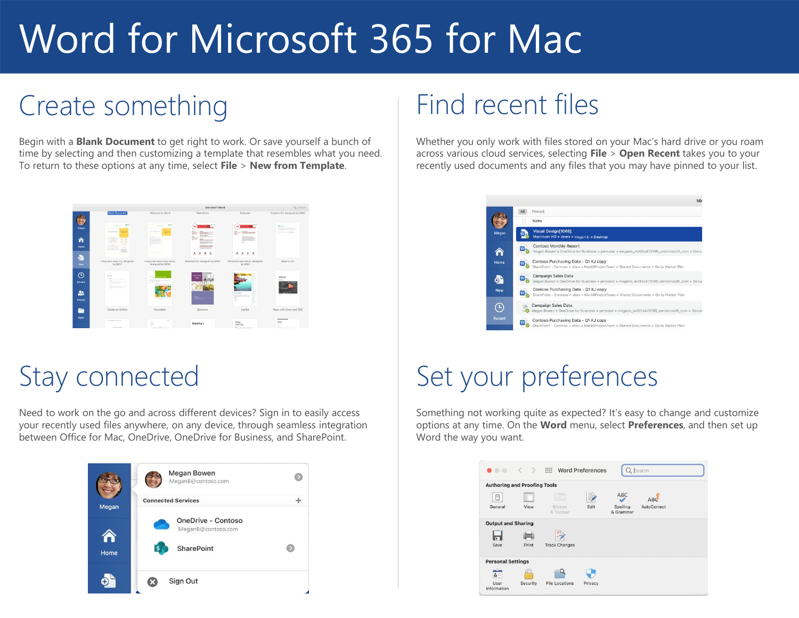## Create something

Begin with a **Blank Document** to get right to work. Or save yourself a bunch of time by selecting and then customizing a template that resembles what you need. To return to these options at any time, select **File** > **New from Template**.

|              |                                                                     |                                                  | Microsoft Word                                                                                         |                                                                     | Q. Bearch                                                                                                      |
|--------------|---------------------------------------------------------------------|--------------------------------------------------|--------------------------------------------------------------------------------------------------------|---------------------------------------------------------------------|----------------------------------------------------------------------------------------------------------------|
|              | <b>Blank Document</b>                                               | Welcome to Word                                  | <b>Take Notes</b>                                                                                      | Calendar                                                            | Creative CV, designed by MOO.                                                                                  |
| Megan        | <b>Arrest</b><br><b><i>CASH EAST</i></b>                            | <b>Asia</b><br><b>South America</b><br>---       | <b>YN</b><br>$-200$                                                                                    |                                                                     | <b>Basican</b><br>œ                                                                                            |
| Α<br>Home    | $\sim$<br>$\bullet$<br>$\overline{\phantom{a}}$<br>-<br><b>TOMA</b> |                                                  | <b>STAN</b><br><b>Port District Allena</b><br><b>Holter or Bureaux</b><br><b>CALCULATION</b><br>1.1.1. | $\sim$<br>2222                                                      |                                                                                                                |
| æ<br>New     | Crisp and clean CV, designed<br>by MOO                              | Crisp and clean cover letter,<br>designed by MOO | Polished CV, designed by MOO                                                                           | Polished cover letter, designed<br>by MOO                           | Make a List                                                                                                    |
| ∩<br>Recent  | $\sim$<br>time.                                                     | --<br><b>SHIP SHA</b>                            | Brocker<br>Tak                                                                                         |                                                                     | TITLE<br><b>GARDE</b>                                                                                          |
| 2.<br>Shared | ₿                                                                   |                                                  |                                                                                                        | For Sale!<br><b>Reference Advertising</b><br><b>Since</b><br>2<br>= |                                                                                                                |
| -<br>n       | Create an Outline                                                   | Newsletter                                       | Brochure                                                                                               | Leafiet                                                             | Paper with Cover and TOC                                                                                       |
| Open         |                                                                     | $\sim$<br>ä<br><b>STATE</b>                      | <b>Heading 1</b>                                                                                       | <b>YITLE</b><br><b>SJETTLE</b><br>$\sim$                            | -<br>mr<br>m<br>$\frac{1}{2} \left( \frac{1}{2} \right) \left( \frac{1}{2} \right) \left( \frac{1}{2} \right)$ |

#### Stay connected

Need to work on the go and across different devices? Sign in to easily access your recently used files anywhere, on any device, through seamless integration between Office for Mac, OneDrive, OneDrive for Business, and SharePoint.



#### Find recent files

Whether you only work with files stored on your Mac's hard drive or you roam across various cloud services, selecting **File** > **Open Recent** takes you to your recently used documents and any files that you may have pinned to your list.

|            | Mic                                                                                                                            |
|------------|--------------------------------------------------------------------------------------------------------------------------------|
|            | All<br>Pinned                                                                                                                  |
|            | Name                                                                                                                           |
| Megan      | Visual Design[1066]<br>Macintosh HD » Users » Megan B » Desktop                                                                |
|            | <b>Contoso Monthly Report</b><br>Megan Bowen's OneDrive for Business » personal » meganb_m365x478196_onmicrosoft_com » Docur   |
| Home       | Contoso Purchasing Data - Q1 KJ copy<br>SharePoint - Contoso » sites » Mark8ProjectTeam » Shared Documents » Go to Market Plan |
| ο.         | Campaign Sales Data<br>W<br>Megan Bowen's OneDrive for Business » personal » meganb_m365x478196_onmicrosoft_com » Docur        |
| <b>New</b> | Contoso Purchasing Data - Q1 KJ copy<br>SharePoint - Contoso » sites » Mark8ProjectTeam » Shared Documents » Go to Market Plan |
| ц          | Campaign Sales Data<br>Megan Bowen's OneDrive for Business » personal » meganb_m365x478196_onmicrosoft_com » Docum             |
| Recent     | Contoso Purchasing Data - Q1 KJ copy<br>SharePoint - Contoso » sites » Mark8ProjectTeam » Shared Documents » Go to Market Plan |

## Set your preferences

Something not working quite as expected? It's easy to change and customize options at any time. On the **Word** menu, select **Preferences**, and then set up Word the way you want.

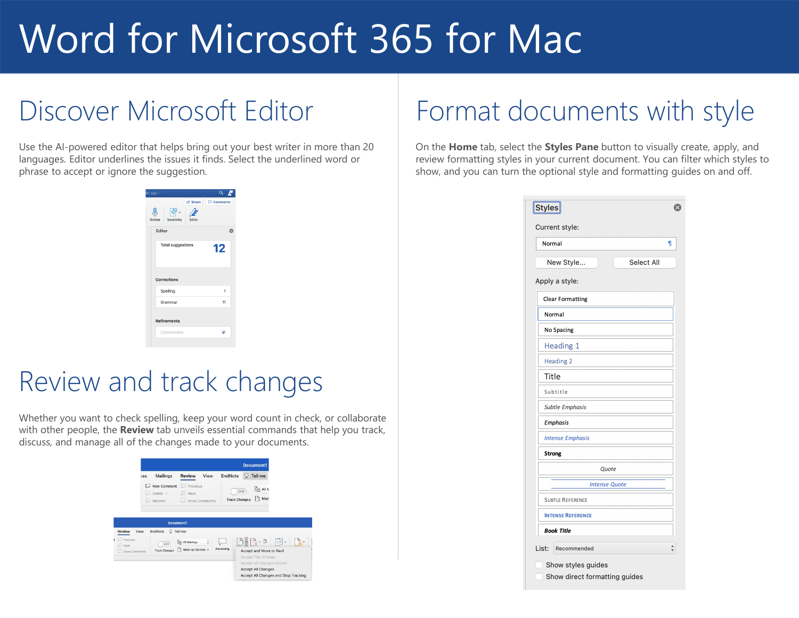## Discover Microsoft Editor

Use the AI-powered editor that helps bring out your best writer in more than 20 languages. Editor underlines the issues it finds. Select the underlined word or phrase to accept or ignore the suggestion.

| h ago ~                  |         | $\alpha$   |   |
|--------------------------|---------|------------|---|
|                          | A Share | Comments   |   |
| Sensitivity<br>Dictate   | Editor  |            |   |
| Editor                   |         |            | Ø |
| <b>Total suggestions</b> | 12      |            |   |
| <b>Corrections</b>       |         |            |   |
| Spelling                 | 1       |            |   |
| Grammar                  | 11      |            |   |
| <b>Refinements</b>       |         |            |   |
| Conciseness              |         | $\epsilon$ |   |
|                          |         |            |   |

#### Review and track changes

Whether you want to check spelling, keep your word count in check, or collaborate with other people, the **Review** tab unveils essential commands that help you track, discuss, and manage all of the changes made to your documents.

|                                                 |      |                                    |                                   |      |                      |     | <b>Document1</b>                                                                                                                               |        |  |
|-------------------------------------------------|------|------------------------------------|-----------------------------------|------|----------------------|-----|------------------------------------------------------------------------------------------------------------------------------------------------|--------|--|
|                                                 | es:  | Mailings                           | <b>Review</b>                     | View | EndNote              |     | <b>Tell me</b>                                                                                                                                 |        |  |
|                                                 |      | New Comment<br>Delete v<br>Resolve | Previous<br>Next<br>Show Comments |      | <b>Track Changes</b> | OFF | <b>Lin All N</b><br>ŀ٩<br>Mark                                                                                                                 |        |  |
|                                                 |      | Document1                          |                                   |      |                      |     |                                                                                                                                                |        |  |
| <b>Review</b><br>$t$ $\Box$ Previous<br>U. Next | View | EndNote<br>0<br>OFF                | Tell me<br><b>All Markup</b>      | ¢    | e                    |     | $\Rightarrow$ $\Rightarrow$ $\Rightarrow$                                                                                                      | $\Box$ |  |
| Show Comments                                   |      | <b>Track Changes</b>               | Mark-up Options v                 |      | Reviewing            |     | Accept and Move to Next<br>Accept This Change<br>Accept All Changes Shown<br><b>Accept All Changes</b><br>Accept All Changes and Stop Tracking |        |  |

## Format documents with style

On the **Home** tab, select the **Styles Pane** button to visually create, apply, and review formatting styles in your current document. You can filter which styles to show, and you can turn the optional style and formatting guides on and off.

| Normal                   |                      |
|--------------------------|----------------------|
| New Style                | Select All           |
| Apply a style:           |                      |
| <b>Clear Formatting</b>  |                      |
| Normal                   |                      |
| No Spacing               |                      |
| Heading 1                |                      |
| <b>Heading 2</b>         |                      |
| Title                    |                      |
| Subtitle                 |                      |
| <b>Subtle Emphasis</b>   |                      |
| <b>Emphasis</b>          |                      |
| <b>Intense Emphasis</b>  |                      |
| <b>Strong</b>            |                      |
|                          | Quote                |
|                          | <b>Intense Quote</b> |
| <b>SUBTLE REFERENCE</b>  |                      |
| <b>INTENSE REFERENCE</b> |                      |
| <b>Book Title</b>        |                      |
| List:<br>Recommended     |                      |